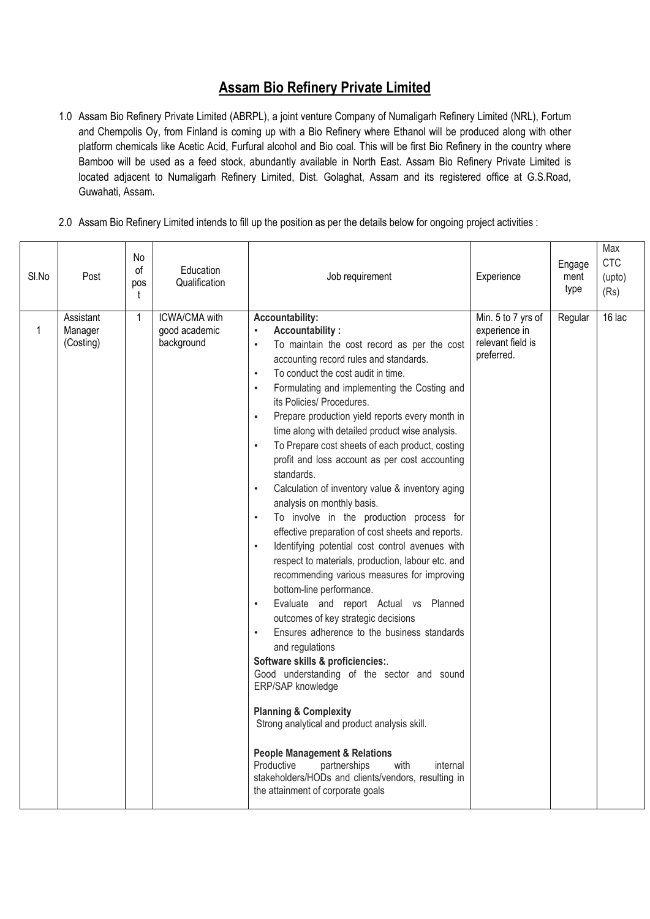## **Assam Bio Refinery Private Limited**

- 1.0 Assam Bio Refinery Private Limited (ABRPL), a joint venture Company of Numaligarh Refinery Limited (NRL), Fortum and Chempolis Oy, from Finland is coming up with a Bio Refinery where Ethanol will be produced along with other platform chemicals like Acetic Acid, Furfural alcohol and Bio coal. This will be first Bio Refinery in the country where Bamboo will be used as a feed stock, abundantly available in North East. Assam Bio Refinery Private Limited is located adjacent to Numaligarh Refinery Limited, Dist. Golaghat, Assam and its registered office at G.S.Road, Guwahati, Assam.
- 2.0 Assam Bio Refinery Limited intends to fill up the position as per the details below for ongoing project activities :

| $\overline{16}$ lac<br>Assistant<br><b>ICWA/CMA with</b><br>Accountability:<br>Min. 5 to 7 yrs of<br>Regular<br>1<br><b>Accountability:</b><br>$\mathbf{1}$<br>Manager<br>good academic<br>experience in<br>$\bullet$<br>relevant field is<br>background<br>(Costing)<br>To maintain the cost record as per the cost<br>$\bullet$<br>preferred.<br>accounting record rules and standards.<br>To conduct the cost audit in time.<br>$\bullet$<br>Formulating and implementing the Costing and<br>$\bullet$<br>its Policies/ Procedures.<br>Prepare production yield reports every month in<br>$\bullet$<br>time along with detailed product wise analysis.<br>To Prepare cost sheets of each product, costing<br>$\bullet$<br>profit and loss account as per cost accounting<br>standards.<br>Calculation of inventory value & inventory aging<br>$\bullet$<br>analysis on monthly basis.<br>To involve in the production process for<br>effective preparation of cost sheets and reports.<br>Identifying potential cost control avenues with<br>$\bullet$<br>respect to materials, production, labour etc. and<br>recommending various measures for improving<br>bottom-line performance.<br>Evaluate and report Actual vs Planned<br>$\bullet$<br>outcomes of key strategic decisions<br>Ensures adherence to the business standards<br>$\bullet$<br>and regulations<br>Software skills & proficiencies:.<br>Good understanding of the sector and sound<br>ERP/SAP knowledge<br><b>Planning &amp; Complexity</b><br>Strong analytical and product analysis skill.<br><b>People Management &amp; Relations</b><br>Productive<br>partnerships<br>with<br>internal<br>stakeholders/HODs and clients/vendors, resulting in<br>the attainment of corporate goals | SI.No | Post | No<br>0f<br>pos<br>t | Education<br>Qualification | Job requirement | Experience | Engage<br>ment<br>type | Max<br><b>CTC</b><br>(upto)<br>(Rs) |
|--------------------------------------------------------------------------------------------------------------------------------------------------------------------------------------------------------------------------------------------------------------------------------------------------------------------------------------------------------------------------------------------------------------------------------------------------------------------------------------------------------------------------------------------------------------------------------------------------------------------------------------------------------------------------------------------------------------------------------------------------------------------------------------------------------------------------------------------------------------------------------------------------------------------------------------------------------------------------------------------------------------------------------------------------------------------------------------------------------------------------------------------------------------------------------------------------------------------------------------------------------------------------------------------------------------------------------------------------------------------------------------------------------------------------------------------------------------------------------------------------------------------------------------------------------------------------------------------------------------------------------------------------------------------------------------------------------------------------------------------------------------|-------|------|----------------------|----------------------------|-----------------|------------|------------------------|-------------------------------------|
|                                                                                                                                                                                                                                                                                                                                                                                                                                                                                                                                                                                                                                                                                                                                                                                                                                                                                                                                                                                                                                                                                                                                                                                                                                                                                                                                                                                                                                                                                                                                                                                                                                                                                                                                                              |       |      |                      |                            |                 |            |                        |                                     |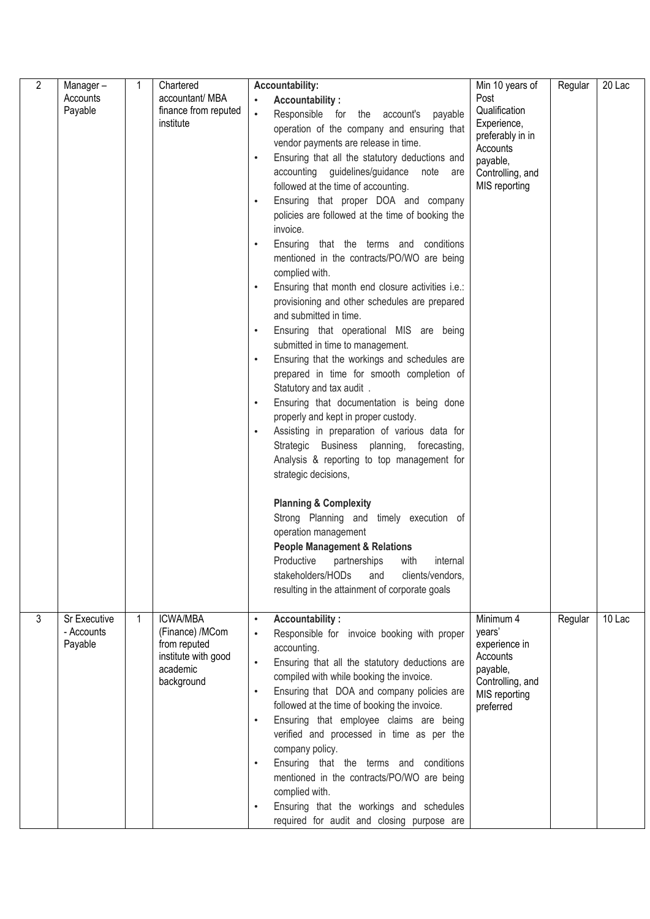| 2 | Manager-<br>Accounts<br>Payable       | 1           | Chartered<br>accountant/ MBA<br>finance from reputed<br>institute                                   | <b>Accountability:</b><br><b>Accountability:</b><br>Responsible for the account's payable<br>operation of the company and ensuring that<br>vendor payments are release in time.<br>Ensuring that all the statutory deductions and<br>$\bullet$<br>accounting guidelines/guidance<br>note<br>are<br>followed at the time of accounting.<br>Ensuring that proper DOA and company<br>$\bullet$<br>policies are followed at the time of booking the<br>invoice.<br>Ensuring that the terms and conditions<br>$\bullet$<br>mentioned in the contracts/PO/WO are being<br>complied with.<br>Ensuring that month end closure activities i.e.:<br>$\bullet$<br>provisioning and other schedules are prepared<br>and submitted in time.<br>Ensuring that operational MIS are being<br>$\bullet$<br>submitted in time to management.<br>Ensuring that the workings and schedules are<br>$\bullet$<br>prepared in time for smooth completion of<br>Statutory and tax audit .<br>Ensuring that documentation is being done<br>$\bullet$<br>properly and kept in proper custody.<br>Assisting in preparation of various data for<br>$\bullet$<br>Strategic Business planning, forecasting,<br>Analysis & reporting to top management for<br>strategic decisions,<br><b>Planning &amp; Complexity</b><br>Strong Planning and timely execution of<br>operation management<br><b>People Management &amp; Relations</b><br>Productive<br>partnerships<br>with<br>internal<br>stakeholders/HODs<br>clients/vendors,<br>and<br>resulting in the attainment of corporate goals | Min 10 years of<br>Post<br>Qualification<br>Experience,<br>preferably in in<br>Accounts<br>payable,<br>Controlling, and<br>MIS reporting | Regular | 20 Lac |
|---|---------------------------------------|-------------|-----------------------------------------------------------------------------------------------------|------------------------------------------------------------------------------------------------------------------------------------------------------------------------------------------------------------------------------------------------------------------------------------------------------------------------------------------------------------------------------------------------------------------------------------------------------------------------------------------------------------------------------------------------------------------------------------------------------------------------------------------------------------------------------------------------------------------------------------------------------------------------------------------------------------------------------------------------------------------------------------------------------------------------------------------------------------------------------------------------------------------------------------------------------------------------------------------------------------------------------------------------------------------------------------------------------------------------------------------------------------------------------------------------------------------------------------------------------------------------------------------------------------------------------------------------------------------------------------------------------------------------------------------------------------|------------------------------------------------------------------------------------------------------------------------------------------|---------|--------|
| 3 | Sr Executive<br>- Accounts<br>Payable | $\mathbf 1$ | <b>ICWA/MBA</b><br>(Finance) /MCom<br>from reputed<br>institute with good<br>academic<br>background | <b>Accountability:</b><br>Responsible for invoice booking with proper<br>accounting.<br>Ensuring that all the statutory deductions are<br>$\bullet$<br>compiled with while booking the invoice.<br>Ensuring that DOA and company policies are<br>followed at the time of booking the invoice.<br>Ensuring that employee claims are being<br>$\bullet$<br>verified and processed in time as per the<br>company policy.<br>Ensuring that the terms and conditions<br>$\bullet$<br>mentioned in the contracts/PO/WO are being<br>complied with.<br>Ensuring that the workings and schedules<br>$\bullet$<br>required for audit and closing purpose are                                                                                                                                                                                                                                                                                                                                                                                                                                                                                                                                                                                                                                                                                                                                                                                                                                                                                                        | Minimum 4<br>years'<br>experience in<br>Accounts<br>payable,<br>Controlling, and<br>MIS reporting<br>preferred                           | Regular | 10 Lac |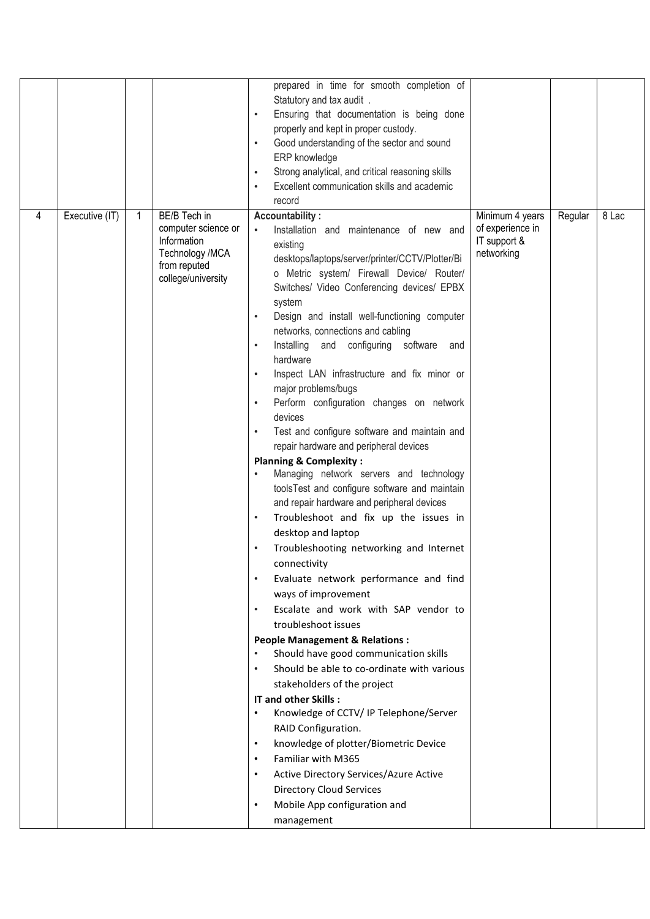|   |                |              |                                                                                             | prepared in time for smooth completion of<br>Statutory and tax audit .<br>Ensuring that documentation is being done<br>$\bullet$<br>properly and kept in proper custody.<br>Good understanding of the sector and sound<br>ERP knowledge<br>Strong analytical, and critical reasoning skills<br>$\bullet$<br>Excellent communication skills and academic<br>record                                                                                                                                                                                                                                                                                                                                                                                                                                                                                                                                                                                                                                                                                                                                                                                                                                                                                                                                                                                                                                                                                                      |                                                |         |       |
|---|----------------|--------------|---------------------------------------------------------------------------------------------|------------------------------------------------------------------------------------------------------------------------------------------------------------------------------------------------------------------------------------------------------------------------------------------------------------------------------------------------------------------------------------------------------------------------------------------------------------------------------------------------------------------------------------------------------------------------------------------------------------------------------------------------------------------------------------------------------------------------------------------------------------------------------------------------------------------------------------------------------------------------------------------------------------------------------------------------------------------------------------------------------------------------------------------------------------------------------------------------------------------------------------------------------------------------------------------------------------------------------------------------------------------------------------------------------------------------------------------------------------------------------------------------------------------------------------------------------------------------|------------------------------------------------|---------|-------|
| 4 | Executive (IT) | $\mathbf{1}$ | BE/B Tech in                                                                                | <b>Accountability:</b>                                                                                                                                                                                                                                                                                                                                                                                                                                                                                                                                                                                                                                                                                                                                                                                                                                                                                                                                                                                                                                                                                                                                                                                                                                                                                                                                                                                                                                                 | Minimum 4 years                                | Regular | 8 Lac |
|   |                |              | computer science or<br>Information<br>Technology /MCA<br>from reputed<br>college/university | Installation and maintenance of new and<br>$\bullet$<br>existing<br>desktops/laptops/server/printer/CCTV/Plotter/Bi<br>o Metric system/ Firewall Device/ Router/<br>Switches/ Video Conferencing devices/ EPBX<br>system<br>Design and install well-functioning computer<br>networks, connections and cabling<br>Installing and configuring software and<br>hardware<br>Inspect LAN infrastructure and fix minor or<br>major problems/bugs<br>Perform configuration changes on network<br>devices<br>Test and configure software and maintain and<br>repair hardware and peripheral devices<br><b>Planning &amp; Complexity:</b><br>Managing network servers and technology<br>toolsTest and configure software and maintain<br>and repair hardware and peripheral devices<br>Troubleshoot and fix up the issues in<br>desktop and laptop<br>Troubleshooting networking and Internet<br>connectivity<br>Evaluate network performance and find<br>ways of improvement<br>Escalate and work with SAP vendor to<br>troubleshoot issues<br><b>People Management &amp; Relations:</b><br>Should have good communication skills<br>Should be able to co-ordinate with various<br>stakeholders of the project<br>IT and other Skills :<br>Knowledge of CCTV/ IP Telephone/Server<br>RAID Configuration.<br>knowledge of plotter/Biometric Device<br>$\bullet$<br>Familiar with M365<br>Active Directory Services/Azure Active<br>$\bullet$<br><b>Directory Cloud Services</b> | of experience in<br>IT support &<br>networking |         |       |
|   |                |              |                                                                                             | Mobile App configuration and                                                                                                                                                                                                                                                                                                                                                                                                                                                                                                                                                                                                                                                                                                                                                                                                                                                                                                                                                                                                                                                                                                                                                                                                                                                                                                                                                                                                                                           |                                                |         |       |
|   |                |              |                                                                                             | management                                                                                                                                                                                                                                                                                                                                                                                                                                                                                                                                                                                                                                                                                                                                                                                                                                                                                                                                                                                                                                                                                                                                                                                                                                                                                                                                                                                                                                                             |                                                |         |       |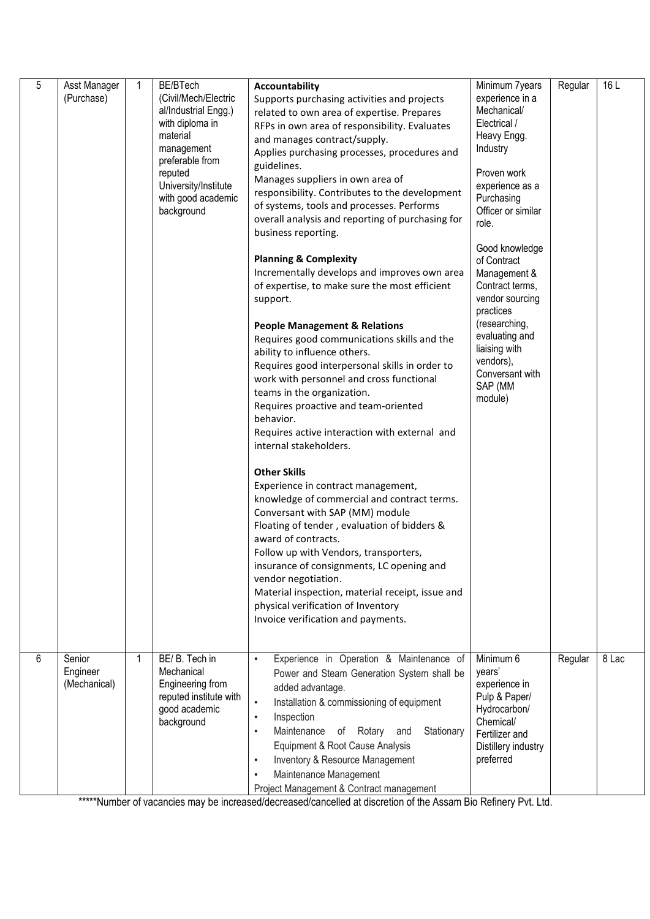| 5 | Asst Manager<br>(Purchase)         | $\mathbf{1}$ | BE/BTech<br>(Civil/Mech/Electric<br>al/Industrial Engg.)<br>with diploma in<br>material<br>management<br>preferable from<br>reputed<br>University/Institute<br>with good academic<br>background | <b>Accountability</b><br>Supports purchasing activities and projects<br>related to own area of expertise. Prepares<br>RFPs in own area of responsibility. Evaluates<br>and manages contract/supply.<br>Applies purchasing processes, procedures and<br>guidelines.<br>Manages suppliers in own area of<br>responsibility. Contributes to the development<br>of systems, tools and processes. Performs<br>overall analysis and reporting of purchasing for<br>business reporting.<br><b>Planning &amp; Complexity</b><br>Incrementally develops and improves own area<br>of expertise, to make sure the most efficient<br>support.<br><b>People Management &amp; Relations</b><br>Requires good communications skills and the<br>ability to influence others.<br>Requires good interpersonal skills in order to<br>work with personnel and cross functional<br>teams in the organization.<br>Requires proactive and team-oriented<br>behavior.<br>Requires active interaction with external and<br>internal stakeholders.<br><b>Other Skills</b><br>Experience in contract management,<br>knowledge of commercial and contract terms.<br>Conversant with SAP (MM) module<br>Floating of tender, evaluation of bidders &<br>award of contracts.<br>Follow up with Vendors, transporters,<br>insurance of consignments, LC opening and<br>vendor negotiation.<br>Material inspection, material receipt, issue and<br>physical verification of Inventory | Minimum 7years<br>experience in a<br>Mechanical/<br>Electrical /<br>Heavy Engg.<br>Industry<br>Proven work<br>experience as a<br>Purchasing<br>Officer or similar<br>role.<br>Good knowledge<br>of Contract<br>Management &<br>Contract terms,<br>vendor sourcing<br>practices<br>(researching,<br>evaluating and<br>liaising with<br>vendors),<br>Conversant with<br>SAP (MM<br>module) | Regular | 16 L  |
|---|------------------------------------|--------------|-------------------------------------------------------------------------------------------------------------------------------------------------------------------------------------------------|------------------------------------------------------------------------------------------------------------------------------------------------------------------------------------------------------------------------------------------------------------------------------------------------------------------------------------------------------------------------------------------------------------------------------------------------------------------------------------------------------------------------------------------------------------------------------------------------------------------------------------------------------------------------------------------------------------------------------------------------------------------------------------------------------------------------------------------------------------------------------------------------------------------------------------------------------------------------------------------------------------------------------------------------------------------------------------------------------------------------------------------------------------------------------------------------------------------------------------------------------------------------------------------------------------------------------------------------------------------------------------------------------------------------------------------------------|------------------------------------------------------------------------------------------------------------------------------------------------------------------------------------------------------------------------------------------------------------------------------------------------------------------------------------------------------------------------------------------|---------|-------|
|   |                                    |              |                                                                                                                                                                                                 | Invoice verification and payments.                                                                                                                                                                                                                                                                                                                                                                                                                                                                                                                                                                                                                                                                                                                                                                                                                                                                                                                                                                                                                                                                                                                                                                                                                                                                                                                                                                                                                   |                                                                                                                                                                                                                                                                                                                                                                                          |         |       |
| 6 | Senior<br>Engineer<br>(Mechanical) | $\mathbf 1$  | BE/B. Tech in<br>Mechanical<br>Engineering from<br>reputed institute with<br>good academic<br>background                                                                                        | Experience in Operation & Maintenance of<br>$\bullet$<br>Power and Steam Generation System shall be<br>added advantage.<br>Installation & commissioning of equipment<br>$\bullet$<br>Inspection<br>$\bullet$<br>Maintenance of Rotary and<br>Stationary<br>$\bullet$<br>Equipment & Root Cause Analysis<br>Inventory & Resource Management<br>$\bullet$<br>Maintenance Management<br>$\bullet$<br>Project Management & Contract management                                                                                                                                                                                                                                                                                                                                                                                                                                                                                                                                                                                                                                                                                                                                                                                                                                                                                                                                                                                                           | Minimum 6<br>years'<br>experience in<br>Pulp & Paper/<br>Hydrocarbon/<br>Chemical/<br>Fertilizer and<br>Distillery industry<br>preferred                                                                                                                                                                                                                                                 | Regular | 8 Lac |

\*\*\*\*\*Number of vacancies may be increased/decreased/cancelled at discretion of the Assam Bio Refinery Pvt. Ltd.